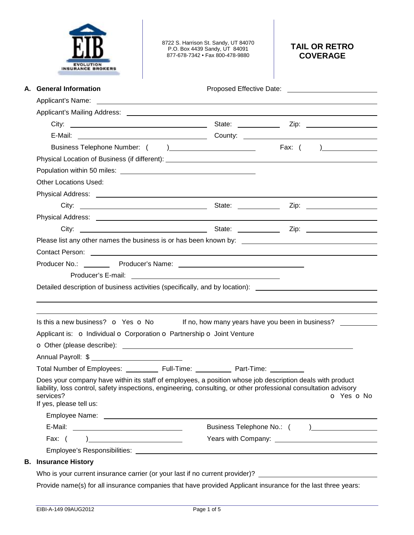| <b>INSURANCE BROKERS</b>                                                                                                                                                                                                                                               | 8722 S. Harrison St. Sandy, UT 84070<br>P.O. Box 4439 Sandy, UT 84091<br>877-678-7342 • Fax 800-478-9880 | <b>TAIL OR RETRO</b><br><b>COVERAGE</b>                                                                                                                                                                                        |
|------------------------------------------------------------------------------------------------------------------------------------------------------------------------------------------------------------------------------------------------------------------------|----------------------------------------------------------------------------------------------------------|--------------------------------------------------------------------------------------------------------------------------------------------------------------------------------------------------------------------------------|
| A. General Information                                                                                                                                                                                                                                                 |                                                                                                          |                                                                                                                                                                                                                                |
|                                                                                                                                                                                                                                                                        |                                                                                                          |                                                                                                                                                                                                                                |
|                                                                                                                                                                                                                                                                        |                                                                                                          |                                                                                                                                                                                                                                |
|                                                                                                                                                                                                                                                                        |                                                                                                          |                                                                                                                                                                                                                                |
|                                                                                                                                                                                                                                                                        |                                                                                                          | E-Mail: County: County: County: County: County: County: County: County: County: County: County: County: County: County: County: County: County: County: County: County: County: County: County: County: County: County: County |
|                                                                                                                                                                                                                                                                        |                                                                                                          |                                                                                                                                                                                                                                |
|                                                                                                                                                                                                                                                                        |                                                                                                          |                                                                                                                                                                                                                                |
|                                                                                                                                                                                                                                                                        |                                                                                                          |                                                                                                                                                                                                                                |
| <b>Other Locations Used:</b>                                                                                                                                                                                                                                           |                                                                                                          |                                                                                                                                                                                                                                |
|                                                                                                                                                                                                                                                                        |                                                                                                          |                                                                                                                                                                                                                                |
|                                                                                                                                                                                                                                                                        |                                                                                                          |                                                                                                                                                                                                                                |
|                                                                                                                                                                                                                                                                        |                                                                                                          |                                                                                                                                                                                                                                |
|                                                                                                                                                                                                                                                                        |                                                                                                          |                                                                                                                                                                                                                                |
|                                                                                                                                                                                                                                                                        |                                                                                                          |                                                                                                                                                                                                                                |
|                                                                                                                                                                                                                                                                        |                                                                                                          |                                                                                                                                                                                                                                |
| Detailed description of business activities (specifically, and by location):                                                                                                                                                                                           |                                                                                                          |                                                                                                                                                                                                                                |
| Is this a new business? o Yes o No<br>Applicant is: o Individual o Corporation o Partnership o Joint Venture                                                                                                                                                           |                                                                                                          | If no, how many years have you been in business?                                                                                                                                                                               |
| Total Number of Employees: _____________ Full-Time: _____________ Part-Time: __________                                                                                                                                                                                |                                                                                                          |                                                                                                                                                                                                                                |
| Does your company have within its staff of employees, a position whose job description deals with product<br>liability, loss control, safety inspections, engineering, consulting, or other professional consultation advisory<br>services?<br>If yes, please tell us: |                                                                                                          | O Yes O No                                                                                                                                                                                                                     |
|                                                                                                                                                                                                                                                                        |                                                                                                          |                                                                                                                                                                                                                                |
|                                                                                                                                                                                                                                                                        |                                                                                                          |                                                                                                                                                                                                                                |
| Fax: $( )$                                                                                                                                                                                                                                                             |                                                                                                          |                                                                                                                                                                                                                                |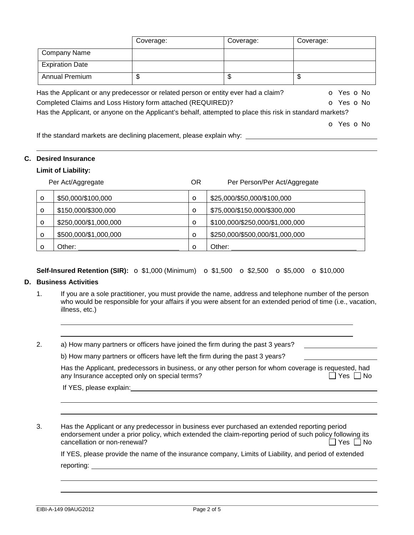|                                                                                                           | Coverage: | Coverage: | Coverage:  |
|-----------------------------------------------------------------------------------------------------------|-----------|-----------|------------|
| <b>Company Name</b>                                                                                       |           |           |            |
| <b>Expiration Date</b>                                                                                    |           |           |            |
| <b>Annual Premium</b>                                                                                     | \$        | \$        | \$         |
| Has the Applicant or any predecessor or related person or entity ever had a claim?                        |           |           | O Yes O No |
| Completed Claims and Loss History form attached (REQUIRED)?                                               |           |           | O Yes O No |
| Has the Applicant, or anyone on the Applicant's behalf, attempted to place this risk in standard markets? |           |           |            |
|                                                                                                           |           |           | o Yes o No |

If the standard markets are declining placement, please explain why:

### **C. Desired Insurance**

### **Limit of Liability:**

|         | Per Act/Aggregate     | ΟR           | Per Person/Per Act/Aggregate    |
|---------|-----------------------|--------------|---------------------------------|
| $\circ$ | \$50,000/\$100,000    | $\circ$      | \$25,000/\$50,000/\$100,000     |
| $\circ$ | \$150,000/\$300,000   | $\circ$      | \$75,000/\$150,000/\$300,000    |
| $\circ$ | \$250,000/\$1,000,000 | $\circ$      | \$100,000/\$250,000/\$1,000,000 |
| $\circ$ | \$500,000/\$1,000,000 | $\circ$      | \$250,000/\$500,000/\$1,000,000 |
| $\circ$ | Other:                | $\mathbf{o}$ | Other:                          |

## **Self-Insured Retention (SIR):** o \$1,000 (Minimum) o \$1,500 o \$2,500 o \$5,000 o \$10,000

### **D. Business Activities**

 

- 1. If you are a sole practitioner, you must provide the name, address and telephone number of the person who would be responsible for your affairs if you were absent for an extended period of time (i.e., vacation, illness, etc.)
- 2. a) How many partners or officers have joined the firm during the past 3 years?

| b) How many partners or officers have left the firm during the past 3 years? |  |  |
|------------------------------------------------------------------------------|--|--|
|                                                                              |  |  |

Has the Applicant, predecessors in business, or any other person for whom coverage is requested, had<br>any Insurance accepted only on special terms? any Insurance accepted only on special terms?

If YES, please explain:

3. Has the Applicant or any predecessor in business ever purchased an extended reporting period endorsement under a prior policy, which extended the claim-reporting period of such policy following its  $c$ ancellation or non-renewal?

If YES, please provide the name of the insurance company, Limits of Liability, and period of extended

reporting: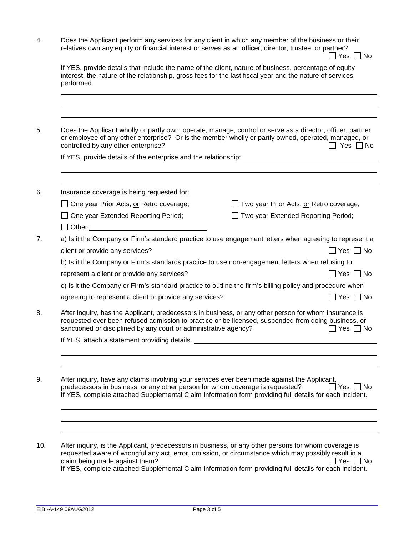4. Does the Applicant perform any services for any client in which any member of the business or their relatives own any equity or financial interest or serves as an officer, director, trustee, or partner?  $\Box$  Yes  $\Box$  No

|                                                                                                                                                                                                                                                                                                | Does the Applicant wholly or partly own, operate, manage, control or serve as a director, officer, partner<br>or employee of any other enterprise? Or is the member wholly or partly owned, operated, managed, or<br>controlled by any other enterprise?<br>$\sqsupset$ Yes $\sqcap$ No                   |  |  |
|------------------------------------------------------------------------------------------------------------------------------------------------------------------------------------------------------------------------------------------------------------------------------------------------|-----------------------------------------------------------------------------------------------------------------------------------------------------------------------------------------------------------------------------------------------------------------------------------------------------------|--|--|
|                                                                                                                                                                                                                                                                                                |                                                                                                                                                                                                                                                                                                           |  |  |
|                                                                                                                                                                                                                                                                                                | Insurance coverage is being requested for:                                                                                                                                                                                                                                                                |  |  |
|                                                                                                                                                                                                                                                                                                | One year Prior Acts, or Retro coverage;<br>Two year Prior Acts, or Retro coverage;                                                                                                                                                                                                                        |  |  |
|                                                                                                                                                                                                                                                                                                | One year Extended Reporting Period;<br>Two year Extended Reporting Period;                                                                                                                                                                                                                                |  |  |
|                                                                                                                                                                                                                                                                                                | $\Box$ Other:                                                                                                                                                                                                                                                                                             |  |  |
|                                                                                                                                                                                                                                                                                                | a) Is it the Company or Firm's standard practice to use engagement letters when agreeing to represent a                                                                                                                                                                                                   |  |  |
|                                                                                                                                                                                                                                                                                                | client or provide any services?<br>$\Box$ Yes $\Box$ No                                                                                                                                                                                                                                                   |  |  |
| b) Is it the Company or Firm's standards practice to use non-engagement letters when refusing to                                                                                                                                                                                               |                                                                                                                                                                                                                                                                                                           |  |  |
|                                                                                                                                                                                                                                                                                                | $\Box$ Yes $\Box$ No<br>represent a client or provide any services?                                                                                                                                                                                                                                       |  |  |
|                                                                                                                                                                                                                                                                                                | c) Is it the Company or Firm's standard practice to outline the firm's billing policy and procedure when                                                                                                                                                                                                  |  |  |
|                                                                                                                                                                                                                                                                                                | agreeing to represent a client or provide any services?<br>$\Box$ Yes $\Box$ No                                                                                                                                                                                                                           |  |  |
| After inquiry, has the Applicant, predecessors in business, or any other person for whom insurance is<br>requested ever been refused admission to practice or be licensed, suspended from doing business, or<br>sanctioned or disciplined by any court or administrative agency?<br>  Yes □ No |                                                                                                                                                                                                                                                                                                           |  |  |
|                                                                                                                                                                                                                                                                                                | If YES, attach a statement providing details. __________________________________                                                                                                                                                                                                                          |  |  |
|                                                                                                                                                                                                                                                                                                | After inquiry, have any claims involving your services ever been made against the Applicant,<br>predecessors in business, or any other person for whom coverage is requested?<br>$Yes \Box No$<br>If YES, complete attached Supplemental Claim Information form providing full details for each incident. |  |  |
|                                                                                                                                                                                                                                                                                                |                                                                                                                                                                                                                                                                                                           |  |  |

If YES, complete attached Supplemental Claim Information form providing full details for each incident.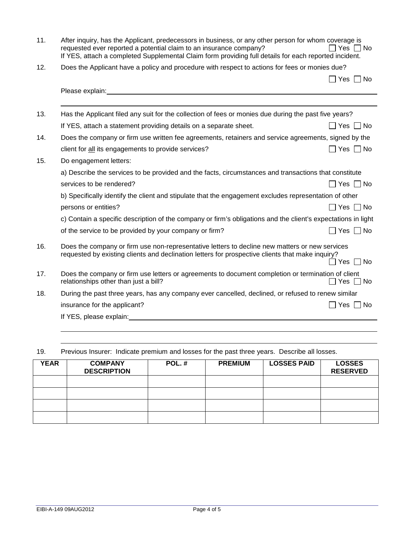| 11. | After inquiry, has the Applicant, predecessors in business, or any other person for whom coverage is<br>requested ever reported a potential claim to an insurance company?<br>Yes<br>– I No<br>If YES, attach a completed Supplemental Claim form providing full details for each reported incident. |                             |  |  |  |  |
|-----|------------------------------------------------------------------------------------------------------------------------------------------------------------------------------------------------------------------------------------------------------------------------------------------------------|-----------------------------|--|--|--|--|
| 12. | Does the Applicant have a policy and procedure with respect to actions for fees or monies due?                                                                                                                                                                                                       |                             |  |  |  |  |
|     |                                                                                                                                                                                                                                                                                                      | $\Box$ Yes $\Box$ No        |  |  |  |  |
|     | Please explain: Note and the set of the set of the set of the set of the set of the set of the set of the set of the set of the set of the set of the set of the set of the set of the set of the set of the set of the set of                                                                       |                             |  |  |  |  |
|     |                                                                                                                                                                                                                                                                                                      |                             |  |  |  |  |
| 13. | Has the Applicant filed any suit for the collection of fees or monies due during the past five years?                                                                                                                                                                                                |                             |  |  |  |  |
|     | If YES, attach a statement providing details on a separate sheet.                                                                                                                                                                                                                                    | $\sqcap$ Yes $\sqcap$ No    |  |  |  |  |
| 14. | Does the company or firm use written fee agreements, retainers and service agreements, signed by the                                                                                                                                                                                                 |                             |  |  |  |  |
|     | client for all its engagements to provide services?                                                                                                                                                                                                                                                  | $\sqsupset$ Yes $\;\Box$ No |  |  |  |  |
| 15. | Do engagement letters:                                                                                                                                                                                                                                                                               |                             |  |  |  |  |
|     | a) Describe the services to be provided and the facts, circumstances and transactions that constitute                                                                                                                                                                                                |                             |  |  |  |  |
|     | services to be rendered?                                                                                                                                                                                                                                                                             | Yes  No                     |  |  |  |  |
|     | b) Specifically identify the client and stipulate that the engagement excludes representation of other                                                                                                                                                                                               |                             |  |  |  |  |
|     | persons or entities?                                                                                                                                                                                                                                                                                 | Yes     No                  |  |  |  |  |
|     | c) Contain a specific description of the company or firm's obligations and the client's expectations in light                                                                                                                                                                                        |                             |  |  |  |  |
|     | of the service to be provided by your company or firm?                                                                                                                                                                                                                                               | $Yes \mid \mid No$          |  |  |  |  |
| 16. | Does the company or firm use non-representative letters to decline new matters or new services<br>requested by existing clients and declination letters for prospective clients that make inquiry?                                                                                                   | $\Box$ Yes $\Box$ No        |  |  |  |  |
| 17. | Does the company or firm use letters or agreements to document completion or termination of client<br>relationships other than just a bill?                                                                                                                                                          | コ Yes コ No                  |  |  |  |  |
| 18. | During the past three years, has any company ever cancelled, declined, or refused to renew similar                                                                                                                                                                                                   |                             |  |  |  |  |
|     | insurance for the applicant?                                                                                                                                                                                                                                                                         | Yes     No                  |  |  |  |  |
|     | If YES, please explain: The state of the state of the state of the state of the state of the state of the state of the state of the state of the state of the state of the state of the state of the state of the state of the                                                                       |                             |  |  |  |  |
|     |                                                                                                                                                                                                                                                                                                      |                             |  |  |  |  |

# 19. Previous Insurer: Indicate premium and losses for the past three years. Describe all losses.

| <b>YEAR</b> | <b>COMPANY</b><br><b>DESCRIPTION</b> | POL.# | <b>PREMIUM</b> | <b>LOSSES PAID</b> | <b>LOSSES</b><br><b>RESERVED</b> |
|-------------|--------------------------------------|-------|----------------|--------------------|----------------------------------|
|             |                                      |       |                |                    |                                  |
|             |                                      |       |                |                    |                                  |
|             |                                      |       |                |                    |                                  |
|             |                                      |       |                |                    |                                  |